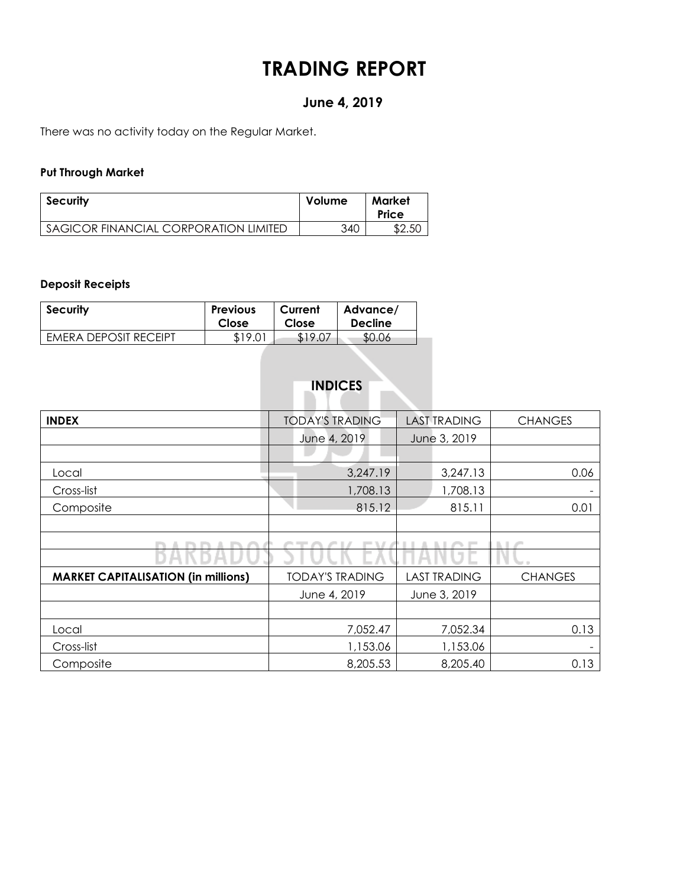# **TRADING REPORT**

# **June 4, 2019**

There was no activity today on the Regular Market.

### **Put Through Market**

| <b>Security</b>                       | Volume | Market<br>Price |
|---------------------------------------|--------|-----------------|
| SAGICOR FINANCIAL CORPORATION LIMITED | 340    | \$2.50          |

### **Deposit Receipts**

| <b>Security</b>       | <b>Previous</b> | Current | Advance/       |
|-----------------------|-----------------|---------|----------------|
|                       | Close           | Close   | <b>Decline</b> |
| EMERA DEPOSIT RECEIPT | \$19.01         | \$19.07 | \$0.06         |

| <b>INDICES</b> |  |
|----------------|--|
|----------------|--|

| <b>INDEX</b>                               | <b>TODAY'S TRADING</b> |  | <b>LAST TRADING</b> | <b>CHANGES</b> |  |  |
|--------------------------------------------|------------------------|--|---------------------|----------------|--|--|
|                                            | June 4, 2019           |  | June 3, 2019        |                |  |  |
|                                            |                        |  |                     |                |  |  |
| Local                                      | 3,247.19               |  | 3,247.13            | 0.06           |  |  |
| Cross-list                                 | 1,708.13               |  | 1,708.13            |                |  |  |
| Composite                                  | 815.12                 |  | 815.11              | 0.01           |  |  |
|                                            |                        |  |                     |                |  |  |
|                                            |                        |  |                     | ٠              |  |  |
|                                            |                        |  |                     |                |  |  |
| <b>MARKET CAPITALISATION (in millions)</b> | <b>TODAY'S TRADING</b> |  | <b>LAST TRADING</b> | <b>CHANGES</b> |  |  |
|                                            | June 4, 2019           |  | June 3, 2019        |                |  |  |
|                                            |                        |  |                     |                |  |  |
| Local                                      | 7,052.47               |  | 7,052.34            | 0.13           |  |  |
| Cross-list                                 | 1,153.06               |  | 1,153.06            |                |  |  |
|                                            |                        |  |                     |                |  |  |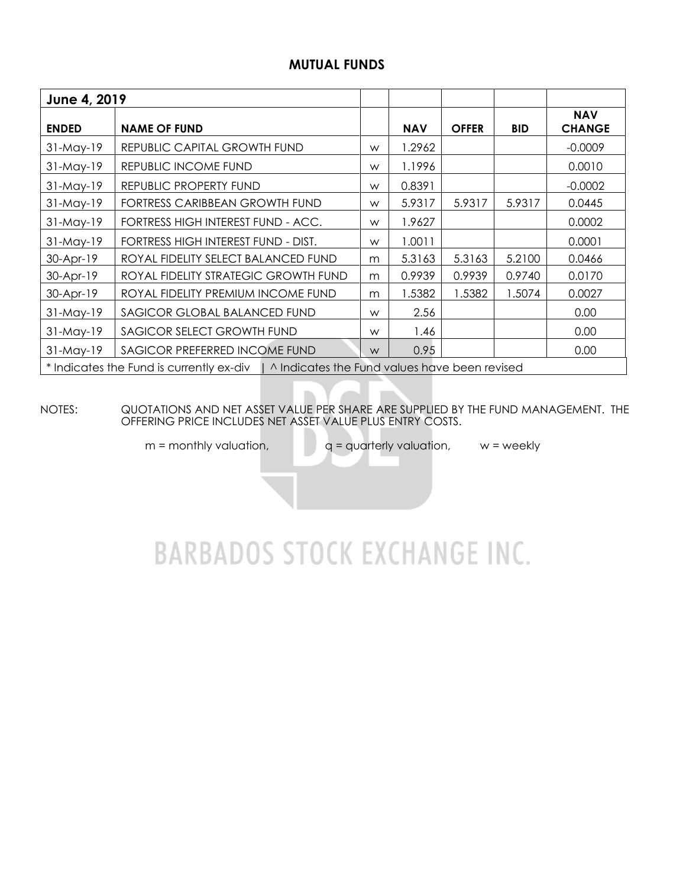## **MUTUAL FUNDS**

| June 4, 2019                                                                             |                                      |   |            |              |            |                             |  |  |
|------------------------------------------------------------------------------------------|--------------------------------------|---|------------|--------------|------------|-----------------------------|--|--|
| <b>ENDED</b>                                                                             | <b>NAME OF FUND</b>                  |   | <b>NAV</b> | <b>OFFER</b> | <b>BID</b> | <b>NAV</b><br><b>CHANGE</b> |  |  |
| $31-May-19$                                                                              | REPUBLIC CAPITAL GROWTH FUND         | W | 1.2962     |              |            | $-0.0009$                   |  |  |
| $31-May-19$                                                                              | REPUBLIC INCOME FUND                 | W | 1.1996     |              |            | 0.0010                      |  |  |
| 31-May-19                                                                                | REPUBLIC PROPERTY FUND               | W | 0.8391     |              |            | $-0.0002$                   |  |  |
| $31-May-19$                                                                              | FORTRESS CARIBBEAN GROWTH FUND       | W | 5.9317     | 5.9317       | 5.9317     | 0.0445                      |  |  |
| $31-May-19$                                                                              | FORTRESS HIGH INTEREST FUND - ACC.   | W | 1.9627     |              |            | 0.0002                      |  |  |
| $31-May-19$                                                                              | FORTRESS HIGH INTEREST FUND - DIST.  | W | 1.0011     |              |            | 0.0001                      |  |  |
| 30-Apr-19                                                                                | ROYAL FIDELITY SELECT BALANCED FUND  | m | 5.3163     | 5.3163       | 5.2100     | 0.0466                      |  |  |
| 30-Apr-19                                                                                | ROYAL FIDELITY STRATEGIC GROWTH FUND | m | 0.9939     | 0.9939       | 0.9740     | 0.0170                      |  |  |
| 30-Apr-19                                                                                | ROYAL FIDELITY PREMIUM INCOME FUND   | m | 1.5382     | 1.5382       | 1.5074     | 0.0027                      |  |  |
| $31-May-19$                                                                              | SAGICOR GLOBAL BALANCED FUND         | W | 2.56       |              |            | 0.00                        |  |  |
| 31-May-19                                                                                | SAGICOR SELECT GROWTH FUND           | W | 1.46       |              |            | 0.00                        |  |  |
| 31-May-19                                                                                | SAGICOR PREFERRED INCOME FUND        | W | 0.95       |              |            | 0.00                        |  |  |
| * Indicates the Fund is currently ex-div   ^ Indicates the Fund values have been revised |                                      |   |            |              |            |                             |  |  |

NOTES: QUOTATIONS AND NET ASSET VALUE PER SHARE ARE SUPPLIED BY THE FUND MANAGEMENT. THE OFFERING PRICE INCLUDES NET ASSET VALUE PLUS ENTRY COSTS.

 $m =$  monthly valuation,  $q =$  quarterly valuation,  $w =$  weekly

# **BARBADOS STOCK EXCHANGE INC.**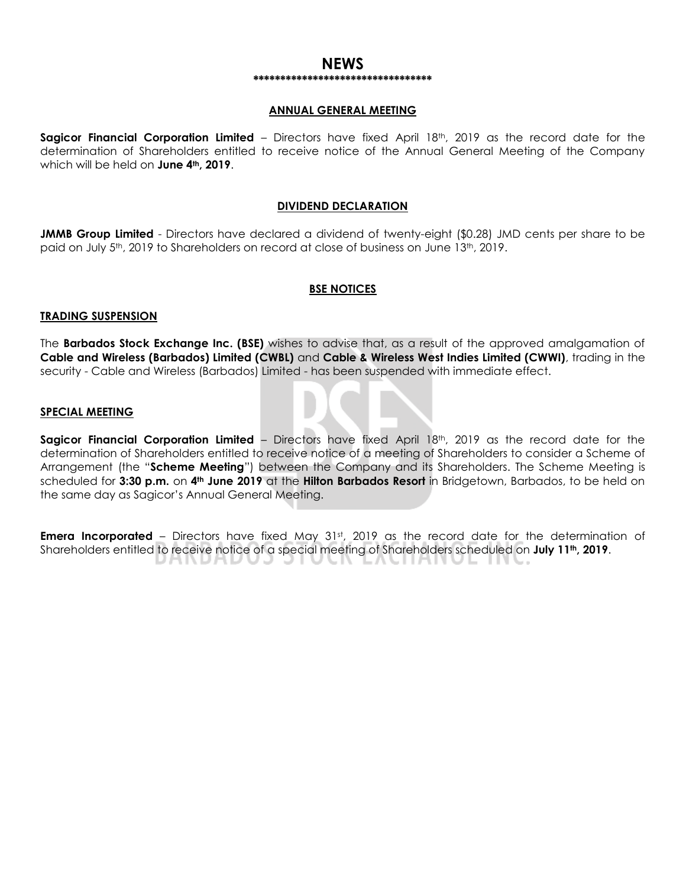#### **NEWS \*\*\*\*\*\*\*\*\*\*\*\*\*\*\*\*\*\*\*\*\*\*\*\*\*\*\*\*\*\*\*\*\***

#### **ANNUAL GENERAL MEETING**

**Sagicor Financial Corporation Limited** – Directors have fixed April 18th, 2019 as the record date for the determination of Shareholders entitled to receive notice of the Annual General Meeting of the Company which will be held on **June 4th, 2019**.

#### **DIVIDEND DECLARATION**

**JMMB Group Limited** - Directors have declared a dividend of twenty-eight (\$0.28) JMD cents per share to be paid on July 5<sup>th</sup>, 2019 to Shareholders on record at close of business on June 13<sup>th</sup>, 2019.

#### **BSE NOTICES**

#### **TRADING SUSPENSION**

The **Barbados Stock Exchange Inc. (BSE)** wishes to advise that, as a result of the approved amalgamation of **Cable and Wireless (Barbados) Limited (CWBL)** and **Cable & Wireless West Indies Limited (CWWI)**, trading in the security - Cable and Wireless (Barbados) Limited - has been suspended with immediate effect.

#### **SPECIAL MEETING**

**Sagicor Financial Corporation Limited** – Directors have fixed April 18th, 2019 as the record date for the determination of Shareholders entitled to receive notice of a meeting of Shareholders to consider a Scheme of Arrangement (the "**Scheme Meeting**") between the Company and its Shareholders. The Scheme Meeting is scheduled for **3:30 p.m.** on **4th June 2019** at the **Hilton Barbados Resort** in Bridgetown, Barbados, to be held on the same day as Sagicor's Annual General Meeting.

**Emera Incorporated** – Directors have fixed May 31<sup>st</sup>, 2019 as the record date for the determination of Shareholders entitled to receive notice of a special meeting of Shareholders scheduled on **July 11th, 2019**.ハハレハレ UN. EACHANGE ING.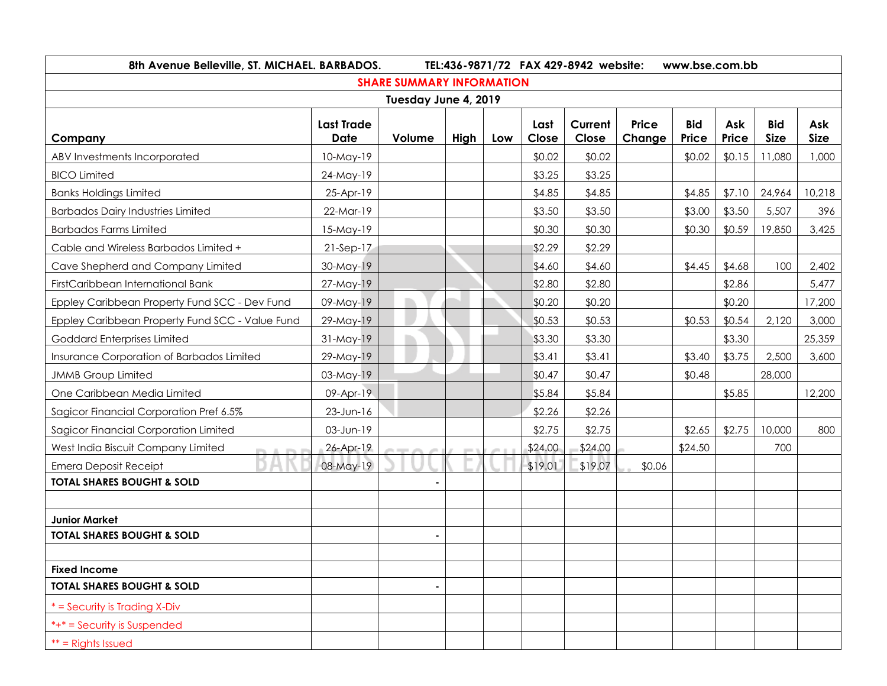| 8th Avenue Belleville, ST. MICHAEL. BARBADOS.   |                                  |        | TEL:436-9871/72 FAX 429-8942 website: |     | www.bse.com.bb |                  |                        |                     |              |                           |                    |
|-------------------------------------------------|----------------------------------|--------|---------------------------------------|-----|----------------|------------------|------------------------|---------------------|--------------|---------------------------|--------------------|
| <b>SHARE SUMMARY INFORMATION</b>                |                                  |        |                                       |     |                |                  |                        |                     |              |                           |                    |
| Tuesday June 4, 2019                            |                                  |        |                                       |     |                |                  |                        |                     |              |                           |                    |
| Company                                         | <b>Last Trade</b><br><b>Date</b> | Volume | High                                  | Low | Last<br>Close  | Current<br>Close | <b>Price</b><br>Change | <b>Bid</b><br>Price | Ask<br>Price | <b>Bid</b><br><b>Size</b> | Ask<br><b>Size</b> |
| ABV Investments Incorporated                    | $10$ -May- $19$                  |        |                                       |     | \$0.02         | \$0.02           |                        | \$0.02              | \$0.15       | 11,080                    | 1,000              |
| <b>BICO Limited</b>                             | 24-May-19                        |        |                                       |     | \$3.25         | \$3.25           |                        |                     |              |                           |                    |
| <b>Banks Holdings Limited</b>                   | 25-Apr-19                        |        |                                       |     | \$4.85         | \$4.85           |                        | \$4.85              | \$7.10       | 24,964                    | 10,218             |
| <b>Barbados Dairy Industries Limited</b>        | 22-Mar-19                        |        |                                       |     | \$3.50         | \$3.50           |                        | \$3.00              | \$3.50       | 5,507                     | 396                |
| <b>Barbados Farms Limited</b>                   | 15-May-19                        |        |                                       |     | \$0.30         | \$0.30           |                        | \$0.30              | \$0.59       | 19,850                    | 3,425              |
| Cable and Wireless Barbados Limited +           | $21-Sep-17$                      |        |                                       |     | \$2.29         | \$2.29           |                        |                     |              |                           |                    |
| Cave Shepherd and Company Limited               | 30-May-19                        |        |                                       |     | \$4.60         | \$4.60           |                        | \$4.45              | \$4.68       | 100                       | 2,402              |
| FirstCaribbean International Bank               | 27-May-19                        |        |                                       |     | \$2.80         | \$2.80           |                        |                     | \$2.86       |                           | 5,477              |
| Eppley Caribbean Property Fund SCC - Dev Fund   | 09-May-19                        |        |                                       |     | \$0.20         | \$0.20           |                        |                     | \$0.20       |                           | 17,200             |
| Eppley Caribbean Property Fund SCC - Value Fund | 29-May-19                        |        |                                       |     | \$0.53         | \$0.53           |                        | \$0.53              | \$0.54       | 2,120                     | 3,000              |
| Goddard Enterprises Limited                     | 31-May-19                        |        |                                       |     | \$3.30         | \$3.30           |                        |                     | \$3.30       |                           | 25,359             |
| Insurance Corporation of Barbados Limited       | 29-May-19                        |        |                                       |     | \$3.41         | \$3.41           |                        | \$3.40              | \$3.75       | 2,500                     | 3,600              |
| <b>JMMB</b> Group Limited                       | 03-May-19                        |        |                                       |     | \$0.47         | \$0.47           |                        | \$0.48              |              | 28,000                    |                    |
| One Caribbean Media Limited                     | 09-Apr-19                        |        |                                       |     | \$5.84         | \$5.84           |                        |                     | \$5.85       |                           | 12,200             |
| Sagicor Financial Corporation Pref 6.5%         | 23-Jun-16                        |        |                                       |     | \$2.26         | \$2.26           |                        |                     |              |                           |                    |
| Sagicor Financial Corporation Limited           | 03-Jun-19                        |        |                                       |     | \$2.75         | \$2.75           |                        | \$2.65              | \$2.75       | 10,000                    | 800                |
| West India Biscuit Company Limited              | 26-Apr-19                        |        |                                       |     | \$24.00        | \$24.00          |                        | \$24.50             |              | 700                       |                    |
| <b>Emera Deposit Receipt</b>                    | 08-May-19                        |        |                                       |     | \$19.01        | \$19.07          | \$0.06                 |                     |              |                           |                    |
| <b>TOTAL SHARES BOUGHT &amp; SOLD</b>           |                                  |        |                                       |     |                |                  |                        |                     |              |                           |                    |
|                                                 |                                  |        |                                       |     |                |                  |                        |                     |              |                           |                    |
| <b>Junior Market</b>                            |                                  |        |                                       |     |                |                  |                        |                     |              |                           |                    |
| <b>TOTAL SHARES BOUGHT &amp; SOLD</b>           |                                  |        |                                       |     |                |                  |                        |                     |              |                           |                    |
|                                                 |                                  |        |                                       |     |                |                  |                        |                     |              |                           |                    |
| <b>Fixed Income</b>                             |                                  |        |                                       |     |                |                  |                        |                     |              |                           |                    |
| <b>TOTAL SHARES BOUGHT &amp; SOLD</b>           |                                  |        |                                       |     |                |                  |                        |                     |              |                           |                    |
| * = Security is Trading X-Div                   |                                  |        |                                       |     |                |                  |                        |                     |              |                           |                    |
| *+* = Security is Suspended                     |                                  |        |                                       |     |                |                  |                        |                     |              |                           |                    |
| $**$ = Rights Issued                            |                                  |        |                                       |     |                |                  |                        |                     |              |                           |                    |